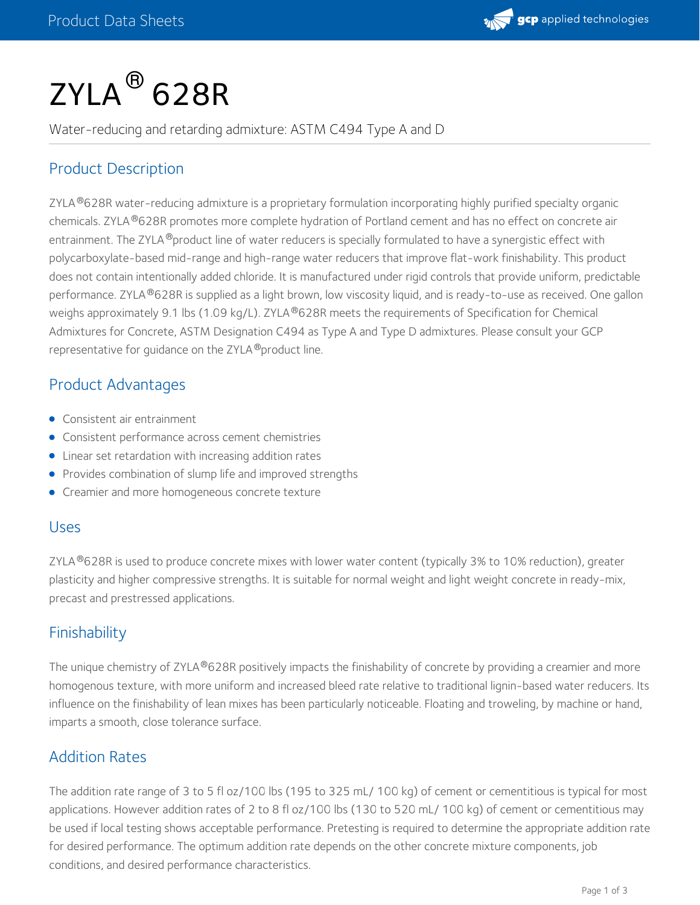

# $\mathsf{ZYLA}^{\circledR}$  628R

Water-reducing and retarding admixture: ASTM C494 Type A and D

# Product Description

ZYLA®628R water-reducing admixture is a proprietary formulation incorporating highly purified specialty organic chemicals. ZYLA ®628R promotes more complete hydration of Portland cement and has no effect on concrete air entrainment. The ZYLA ®product line of water reducers is specially formulated to have a synergistic effect with polycarboxylate-based mid-range and high-range water reducers that improve flat-work finishability. This product does not contain intentionally added chloride. It is manufactured under rigid controls that provide uniform, predictable performance. ZYLA®628R is supplied as a light brown, low viscosity liquid, and is ready-to-use as received. One gallon weighs approximately 9.1 lbs (1.09 kg/L). ZYLA®628R meets the requirements of Specification for Chemical Admixtures for Concrete, ASTM Designation C494 as Type A and Type D admixtures. Please consult your GCP representative for guidance on the ZYLA ®product line.

#### Product Advantages

- Consistent air entrainment
- **•** Consistent performance across cement chemistries
- Linear set retardation with increasing addition rates
- Provides combination of slump life and improved strengths
- **•** Creamier and more homogeneous concrete texture

#### Uses

ZYLA  $^{\circ}$ 628R is used to produce concrete mixes with lower water content (typically 3% to 10% reduction), greater plasticity and higher compressive strengths. It is suitable for normal weight and light weight concrete in ready-mix, precast and prestressed applications.

## **Finishability**

The unique chemistry of ZYLA®628R positively impacts the finishability of concrete by providing a creamier and more homogenous texture, with more uniform and increased bleed rate relative to traditional lignin-based water reducers. Its influence on the finishability of lean mixes has been particularly noticeable. Floating and troweling, by machine or hand, imparts a smooth, close tolerance surface.

## Addition Rates

The addition rate range of 3 to 5 fl oz/100 lbs (195 to 325 mL/ 100 kg) of cement or cementitious is typical for most applications. However addition rates of 2 to 8 fl oz/100 lbs (130 to 520 mL/ 100 kg) of cement or cementitious may be used if local testing shows acceptable performance. Pretesting is required to determine the appropriate addition rate for desired performance. The optimum addition rate depends on the other concrete mixture components, job conditions, and desired performance characteristics.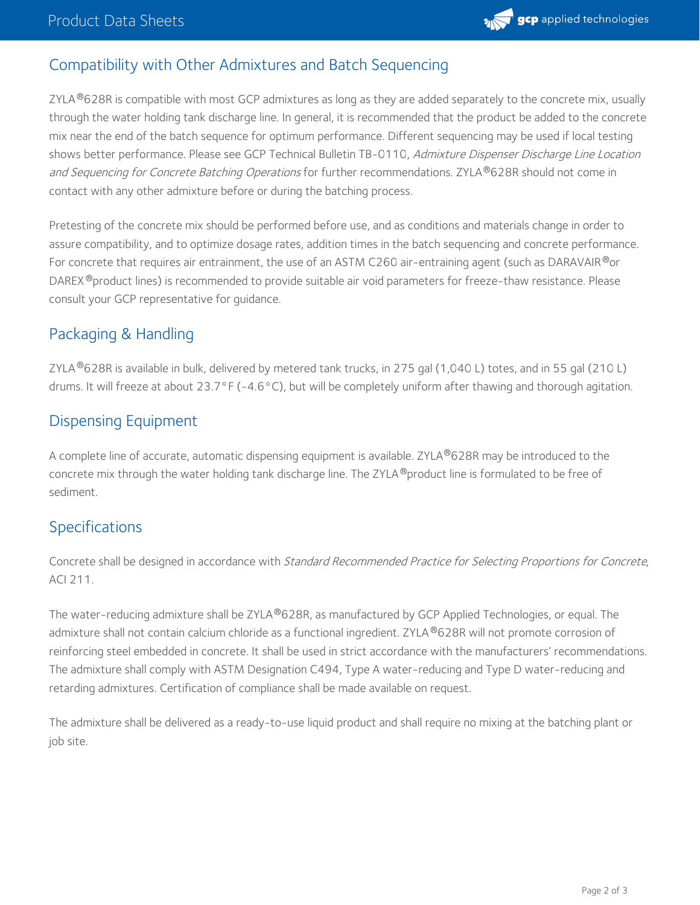

## Compatibility with Other Admixtures and Batch Sequencing

ZYLA $^{\circledR}$ 628R is compatible with most GCP admixtures as long as they are added separately to the concrete mix, usually through the water holding tank discharge line. In general, it is recommended that the product be added to the concrete mix near the end of the batch sequence for optimum performance. Different sequencing may be used if local testing shows better performance. Please see GCP Technical Bulletin TB-0110, Admixture Dispenser Discharge Line Location *and Sequencing for Concrete Batching Operations* for further recommendations. ZYLA®628R should not come in contact with any other admixture before or during the batching process.

Pretesting of the concrete mix should be performed before use, and as conditions and materials change in order to assure compatibility, and to optimize dosage rates, addition times in the batch sequencing and concrete performance. For concrete that requires air entrainment, the use of an ASTM C260 air-entraining agent (such as DARAVAIR $^\circled*$ or DAREX®product lines) is recommended to provide suitable air void parameters for freeze-thaw resistance. Please consult your GCP representative for guidance.

## Packaging & Handling

ZYLA $^{\circledR}$ 628R is available in bulk, delivered by metered tank trucks, in 275 gal (1,040 L) totes, and in 55 gal (210 L) drums. It will freeze at about 23.7°F (-4.6°C), but will be completely uniform after thawing and thorough agitation.

#### Dispensing Equipment

A complete line of accurate, automatic dispensing equipment is available. ZYLA®628R may be introduced to the concrete mix through the water holding tank discharge line. The ZYLA®product line is formulated to be free of sediment.

## Specifications

Concrete shall be designed in accordance with Standard Recommended Practice for Selecting Proportions for Concrete, ACI 211.

The water-reducing admixture shall be ZYLA®628R, as manufactured by GCP Applied Technologies, or equal. The admixture shall not contain calcium chloride as a functional ingredient. ZYLA®628R will not promote corrosion of reinforcing steel embedded in concrete. It shall be used in strict accordance with the manufacturers' recommendations. The admixture shall comply with ASTM Designation C494, Type A water-reducing and Type D water-reducing and retarding admixtures. Certification of compliance shall be made available on request.

The admixture shall be delivered as a ready-to-use liquid product and shall require no mixing at the batching plant or job site.